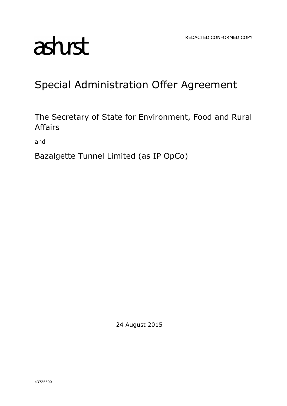# asturst

# Special Administration Offer Agreement

The Secretary of State for Environment, Food and Rural Affairs

and

Bazalgette Tunnel Limited (as IP OpCo)

24 August 2015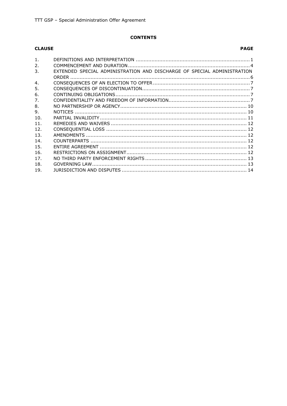# **CONTENTS**

# **CLAUSE**

# **PAGE**

| 1 <sub>1</sub> |                                                                         |  |
|----------------|-------------------------------------------------------------------------|--|
| 2.             |                                                                         |  |
| 3.             | EXTENDED SPECIAL ADMINISTRATION AND DISCHARGE OF SPECIAL ADMINISTRATION |  |
|                |                                                                         |  |
| 4.             |                                                                         |  |
| 5.             |                                                                         |  |
| 6.             |                                                                         |  |
| 7.             |                                                                         |  |
| 8.             |                                                                         |  |
| 9.             |                                                                         |  |
| 10.            |                                                                         |  |
| 11.            |                                                                         |  |
| 12.            |                                                                         |  |
| 13.            |                                                                         |  |
| 14.            |                                                                         |  |
| 15.            |                                                                         |  |
| 16.            |                                                                         |  |
| 17.            |                                                                         |  |
| 18.            |                                                                         |  |
| 19.            |                                                                         |  |
|                |                                                                         |  |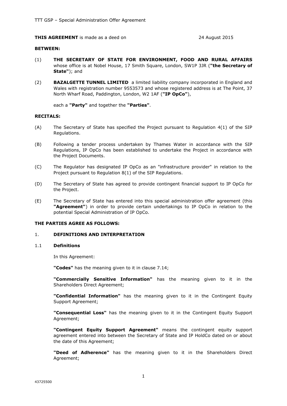#### **THIS AGREEMENT** is made as a deed on 24 August 2015

#### **BETWEEN:**

- (1) **THE SECRETARY OF STATE FOR ENVIRONMENT, FOOD AND RURAL AFFAIRS** whose office is at Nobel House, 17 Smith Square, London, SW1P 3JR (**"the Secretary of State"**); and
- (2) **BAZALGETTE TUNNEL LIMITED** a limited liability company incorporated in England and Wales with registration number 9553573 and whose registered address is at The Point, 37 North Wharf Road, Paddington, London, W2 1AF (**"IP OpCo"**),

each a **"Party"** and together the **"Parties"**.

#### **RECITALS:**

- (A) The Secretary of State has specified the Project pursuant to Regulation 4(1) of the SIP Regulations.
- (B) Following a tender process undertaken by Thames Water in accordance with the SIP Regulations, IP OpCo has been established to undertake the Project in accordance with the Project Documents.
- (C) The Regulator has designated IP OpCo as an "infrastructure provider" in relation to the Project pursuant to Regulation 8(1) of the SIP Regulations.
- (D) The Secretary of State has agreed to provide contingent financial support to IP OpCo for the Project.
- (E) The Secretary of State has entered into this special administration offer agreement (this **"Agreement"**) in order to provide certain undertakings to IP OpCo in relation to the potential Special Administration of IP OpCo.

#### **THE PARTIES AGREE AS FOLLOWS:**

# 1. **DEFINITIONS AND INTERPRETATION**

#### 1.1 **Definitions**

In this Agreement:

**"Codes"** has the meaning given to it in clause 7.14;

**"Commercially Sensitive Information"** has the meaning given to it in the Shareholders Direct Agreement;

**"Confidential Information"** has the meaning given to it in the Contingent Equity Support Agreement;

**"Consequential Loss"** has the meaning given to it in the Contingent Equity Support Agreement;

**"Contingent Equity Support Agreement"** means the contingent equity support agreement entered into between the Secretary of State and IP HoldCo dated on or about the date of this Agreement;

**"Deed of Adherence"** has the meaning given to it in the Shareholders Direct Agreement;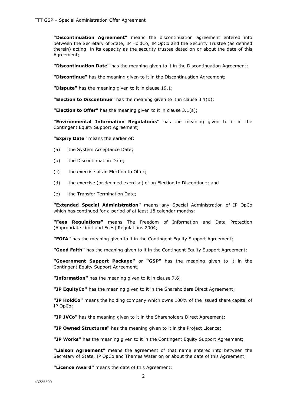**"Discontinuation Agreement"** means the discontinuation agreement entered into between the Secretary of State, IP HoldCo, IP OpCo and the Security Trustee (as defined therein) acting in its capacity as the security trustee dated on or about the date of this Agreement;

**"Discontinuation Date"** has the meaning given to it in the Discontinuation Agreement;

**"Discontinue"** has the meaning given to it in the Discontinuation Agreement;

**"Dispute"** has the meaning given to it in clause 19.1;

**"Election to Discontinue"** has the meaning given to it in clause 3.1(b);

**"Election to Offer"** has the meaning given to it in clause 3.1(a);

**"Environmental Information Regulations"** has the meaning given to it in the Contingent Equity Support Agreement;

**"Expiry Date"** means the earlier of:

- (a) the System Acceptance Date;
- (b) the Discontinuation Date;
- (c) the exercise of an Election to Offer;
- (d) the exercise (or deemed exercise) of an Election to Discontinue; and
- (e) the Transfer Termination Date;

**"Extended Special Administration"** means any Special Administration of IP OpCo which has continued for a period of at least 18 calendar months;

**"Fees Regulations"** means The Freedom of Information and Data Protection (Appropriate Limit and Fees) Regulations 2004;

**"FOIA"** has the meaning given to it in the Contingent Equity Support Agreement;

**"Good Faith"** has the meaning given to it in the Contingent Equity Support Agreement;

**"Government Support Package"** or **"GSP"** has the meaning given to it in the Contingent Equity Support Agreement;

**"Information"** has the meaning given to it in clause 7.6;

**"IP EquityCo"** has the meaning given to it in the Shareholders Direct Agreement;

**"IP HoldCo"** means the holding company which owns 100% of the issued share capital of IP OpCo;

**"IP JVCo"** has the meaning given to it in the Shareholders Direct Agreement;

**"IP Owned Structures"** has the meaning given to it in the Project Licence;

**"IP Works"** has the meaning given to it in the Contingent Equity Support Agreement;

**"Liaison Agreement"** means the agreement of that name entered into between the Secretary of State, IP OpCo and Thames Water on or about the date of this Agreement;

**"Licence Award"** means the date of this Agreement;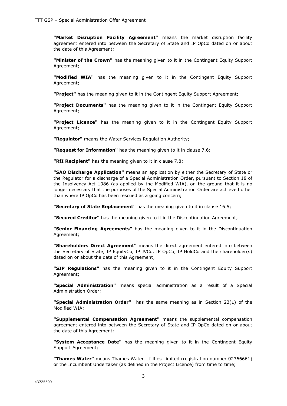**"Market Disruption Facility Agreement"** means the market disruption facility agreement entered into between the Secretary of State and IP OpCo dated on or about the date of this Agreement;

**"Minister of the Crown"** has the meaning given to it in the Contingent Equity Support Agreement;

**"Modified WIA"** has the meaning given to it in the Contingent Equity Support Agreement;

**"Project"** has the meaning given to it in the Contingent Equity Support Agreement;

**"Project Documents"** has the meaning given to it in the Contingent Equity Support Agreement;

**"Project Licence"** has the meaning given to it in the Contingent Equity Support Agreement;

**"Regulator"** means the Water Services Regulation Authority;

**"Request for Information"** has the meaning given to it in clause 7.6;

**"RfI Recipient"** has the meaning given to it in clause 7.8;

**"SAO Discharge Application"** means an application by either the Secretary of State or the Regulator for a discharge of a Special Administration Order, pursuant to Section 18 of the Insolvency Act 1986 (as applied by the Modified WIA), on the ground that it is no longer necessary that the purposes of the Special Administration Order are achieved other than where IP OpCo has been rescued as a going concern;

**"Secretary of State Replacement"** has the meaning given to it in clause 16.5;

**"Secured Creditor"** has the meaning given to it in the Discontinuation Agreement;

**"Senior Financing Agreements"** has the meaning given to it in the Discontinuation Agreement;

**"Shareholders Direct Agreement"** means the direct agreement entered into between the Secretary of State, IP EquityCo, IP JVCo, IP OpCo, IP HoldCo and the shareholder(s) dated on or about the date of this Agreement;

**"SIP Regulations"** has the meaning given to it in the Contingent Equity Support Agreement;

**"Special Administration"** means special administration as a result of a Special Administration Order;

**"Special Administration Order"** has the same meaning as in Section 23(1) of the Modified WIA;

**"Supplemental Compensation Agreement"** means the supplemental compensation agreement entered into between the Secretary of State and IP OpCo dated on or about the date of this Agreement;

**"System Acceptance Date"** has the meaning given to it in the Contingent Equity Support Agreement;

**"Thames Water"** means Thames Water Utilities Limited (registration number 02366661) or the Incumbent Undertaker (as defined in the Project Licence) from time to time;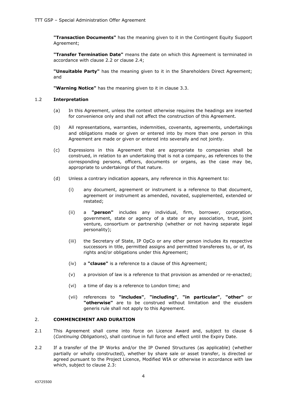**"Transaction Documents"** has the meaning given to it in the Contingent Equity Support Agreement;

**"Transfer Termination Date"** means the date on which this Agreement is terminated in accordance with clause 2.2 or clause 2.4;

**"Unsuitable Party"** has the meaning given to it in the Shareholders Direct Agreement; and

**"Warning Notice"** has the meaning given to it in clause 3.3.

#### 1.2 **Interpretation**

- (a) In this Agreement, unless the context otherwise requires the headings are inserted for convenience only and shall not affect the construction of this Agreement.
- (b) All representations, warranties, indemnities, covenants, agreements, undertakings and obligations made or given or entered into by more than one person in this Agreement are made or given or entered into severally and not jointly.
- (c) Expressions in this Agreement that are appropriate to companies shall be construed, in relation to an undertaking that is not a company, as references to the corresponding persons, officers, documents or organs, as the case may be, appropriate to undertakings of that nature.
- (d) Unless a contrary indication appears, any reference in this Agreement to:
	- (i) any document, agreement or instrument is a reference to that document, agreement or instrument as amended, novated, supplemented, extended or restated;
	- (ii) a **"person"** includes any individual, firm, borrower, corporation, government, state or agency of a state or any association, trust, joint venture, consortium or partnership (whether or not having separate legal personality);
	- (iii) the Secretary of State, IP OpCo or any other person includes its respective successors in title, permitted assigns and permitted transferees to, or of, its rights and/or obligations under this Agreement;
	- (iv) a **"clause"** is a reference to a clause of this Agreement;
	- (v) a provision of law is a reference to that provision as amended or re-enacted;
	- (vi) a time of day is a reference to London time; and
	- (vii) references to **"includes"**, **"including"**, **"in particular"**, **"other"** or **"otherwise"** are to be construed without limitation and the eiusdem generis rule shall not apply to this Agreement.

# 2. **COMMENCEMENT AND DURATION**

- 2.1 This Agreement shall come into force on Licence Award and, subject to clause 6 (*Continuing Obligations*), shall continue in full force and effect until the Expiry Date.
- 2.2 If a transfer of the IP Works and/or the IP Owned Structures (as applicable) (whether partially or wholly constructed), whether by share sale or asset transfer, is directed or agreed pursuant to the Project Licence, Modified WIA or otherwise in accordance with law which, subject to clause 2.3: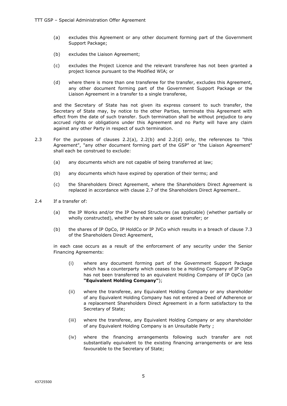- (a) excludes this Agreement or any other document forming part of the Government Support Package;
- (b) excludes the Liaison Agreement;
- (c) excludes the Project Licence and the relevant transferee has not been granted a project licence pursuant to the Modified WIA; or
- (d) where there is more than one transferee for the transfer, excludes this Agreement, any other document forming part of the Government Support Package or the Liaison Agreement in a transfer to a single transferee,

and the Secretary of State has not given its express consent to such transfer, the Secretary of State may, by notice to the other Parties, terminate this Agreement with effect from the date of such transfer. Such termination shall be without prejudice to any accrued rights or obligations under this Agreement and no Party will have any claim against any other Party in respect of such termination.

- 2.3 For the purposes of clauses 2.2(a), 2.2(b) and 2.2(d) only, the references to "this Agreement", "any other document forming part of the GSP" or "the Liaison Agreement" shall each be construed to exclude:
	- (a) any documents which are not capable of being transferred at law;
	- (b) any documents which have expired by operation of their terms; and
	- (c) the Shareholders Direct Agreement, where the Shareholders Direct Agreement is replaced in accordance with clause 2.7 of the Shareholders Direct Agreement..
- 2.4 If a transfer of:
	- (a) the IP Works and/or the IP Owned Structures (as applicable) (whether partially or wholly constructed), whether by share sale or asset transfer; or
	- (b) the shares of IP OpCo, IP HoldCo or IP JVCo which results in a breach of clause 7.3 of the Shareholders Direct Agreement,

in each case occurs as a result of the enforcement of any security under the Senior Financing Agreements:

- (i) where any document forming part of the Government Support Package which has a counterparty which ceases to be a Holding Company of IP OpCo has not been transferred to an equivalent Holding Company of IP OpCo (an **"Equivalent Holding Company"**);
- (ii) where the transferee, any Equivalent Holding Company or any shareholder of any Equivalent Holding Company has not entered a Deed of Adherence or a replacement Shareholders Direct Agreement in a form satisfactory to the Secretary of State;
- (iii) where the transferee, any Equivalent Holding Company or any shareholder of any Equivalent Holding Company is an Unsuitable Party ;
- (iv) where the financing arrangements following such transfer are not substantially equivalent to the existing financing arrangements or are less favourable to the Secretary of State;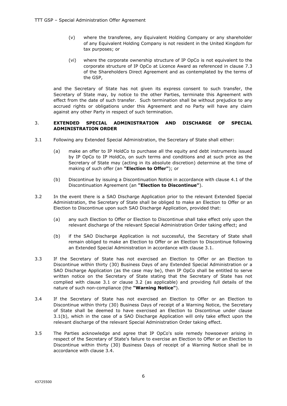- (v) where the transferee, any Equivalent Holding Company or any shareholder of any Equivalent Holding Company is not resident in the United Kingdom for tax purposes; or
- (vi) where the corporate ownership structure of IP OpCo is not equivalent to the corporate structure of IP OpCo at Licence Award as referenced in clause 7.3 of the Shareholders Direct Agreement and as contemplated by the terms of the GSP,

and the Secretary of State has not given its express consent to such transfer, the Secretary of State may, by notice to the other Parties, terminate this Agreement with effect from the date of such transfer. Such termination shall be without prejudice to any accrued rights or obligations under this Agreement and no Party will have any claim against any other Party in respect of such termination.

# 3. **EXTENDED SPECIAL ADMINISTRATION AND DISCHARGE OF SPECIAL ADMINISTRATION ORDER**

- 3.1 Following any Extended Special Administration, the Secretary of State shall either:
	- (a) make an offer to IP HoldCo to purchase all the equity and debt instruments issued by IP OpCo to IP HoldCo, on such terms and conditions and at such price as the Secretary of State may (acting in its absolute discretion) determine at the time of making of such offer (an **"Election to Offer"**); or
	- (b) Discontinue by issuing a Discontinuation Notice in accordance with clause 4.1 of the Discontinuation Agreement (an **"Election to Discontinue"**).
- 3.2 In the event there is a SAO Discharge Application prior to the relevant Extended Special Administration, the Secretary of State shall be obliged to make an Election to Offer or an Election to Discontinue upon such SAO Discharge Application, provided that:
	- (a) any such Election to Offer or Election to Discontinue shall take effect only upon the relevant discharge of the relevant Special Administration Order taking effect; and
	- (b) if the SAO Discharge Application is not successful, the Secretary of State shall remain obliged to make an Election to Offer or an Election to Discontinue following an Extended Special Administration in accordance with clause 3.1.
- 3.3 If the Secretary of State has not exercised an Election to Offer or an Election to Discontinue within thirty (30) Business Days of any Extended Special Administration or a SAO Discharge Application (as the case may be), then IP OpCo shall be entitled to serve written notice on the Secretary of State stating that the Secretary of State has not complied with clause 3.1 or clause 3.2 (as applicable) and providing full details of the nature of such non-compliance (the **"Warning Notice"**).
- 3.4 If the Secretary of State has not exercised an Election to Offer or an Election to Discontinue within thirty (30) Business Days of receipt of a Warning Notice, the Secretary of State shall be deemed to have exercised an Election to Discontinue under clause 3.1(b), which in the case of a SAO Discharge Application will only take effect upon the relevant discharge of the relevant Special Administration Order taking effect.
- 3.5 The Parties acknowledge and agree that IP OpCo's sole remedy howsoever arising in respect of the Secretary of State's failure to exercise an Election to Offer or an Election to Discontinue within thirty (30) Business Days of receipt of a Warning Notice shall be in accordance with clause 3.4.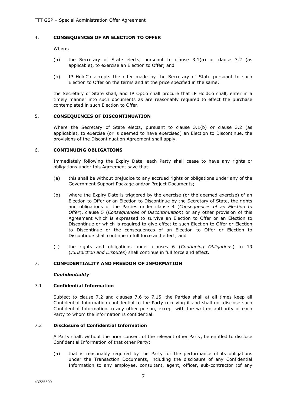# 4. **CONSEQUENCES OF AN ELECTION TO OFFER**

Where:

- (a) the Secretary of State elects, pursuant to clause 3.1(a) or clause 3.2 (as applicable), to exercise an Election to Offer; and
- (b) IP HoldCo accepts the offer made by the Secretary of State pursuant to such Election to Offer on the terms and at the price specified in the same,

the Secretary of State shall, and IP OpCo shall procure that IP HoldCo shall, enter in a timely manner into such documents as are reasonably required to effect the purchase contemplated in such Election to Offer.

# 5. **CONSEQUENCES OF DISCONTINUATION**

Where the Secretary of State elects, pursuant to clause 3.1(b) or clause 3.2 (as applicable), to exercise (or is deemed to have exercised) an Election to Discontinue, the provisions of the Discontinuation Agreement shall apply.

# 6. **CONTINUING OBLIGATIONS**

Immediately following the Expiry Date, each Party shall cease to have any rights or obligations under this Agreement save that:

- (a) this shall be without prejudice to any accrued rights or obligations under any of the Government Support Package and/or Project Documents;
- (b) where the Expiry Date is triggered by the exercise (or the deemed exercise) of an Election to Offer or an Election to Discontinue by the Secretary of State, the rights and obligations of the Parties under clause 4 (*Consequences of an Election to Offer*), clause 5 (*Consequences of Discontinuation*) or any other provision of this Agreement which is expressed to survive an Election to Offer or an Election to Discontinue or which is required to give effect to such Election to Offer or Election to Discontinue or the consequences of an Election to Offer or Election to Discontinue shall continue in full force and effect; and
- (c) the rights and obligations under clauses 6 (*Continuing Obligations*) to 19 (*Jurisdiction and Disputes*) shall continue in full force and effect.

# 7. **CONFIDENTIALITY AND FREEDOM OF INFORMATION**

# *Confidentiality*

# 7.1 **Confidential Information**

Subject to clause 7.2 and clauses 7.6 to 7.15, the Parties shall at all times keep all Confidential Information confidential to the Party receiving it and shall not disclose such Confidential Information to any other person, except with the written authority of each Party to whom the information is confidential.

# 7.2 **Disclosure of Confidential Information**

A Party shall, without the prior consent of the relevant other Party, be entitled to disclose Confidential Information of that other Party:

(a) that is reasonably required by the Party for the performance of its obligations under the Transaction Documents, including the disclosure of any Confidential Information to any employee, consultant, agent, officer, sub-contractor (of any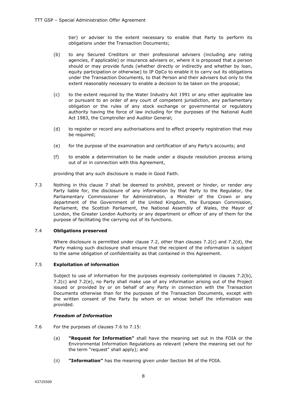tier) or adviser to the extent necessary to enable that Party to perform its obligations under the Transaction Documents;

- (b) to any Secured Creditors or their professional advisers (including any rating agencies, if applicable) or insurance advisers or, where it is proposed that a person should or may provide funds (whether directly or indirectly and whether by loan, equity participation or otherwise) to IP OpCo to enable it to carry out its obligations under the Transaction Documents, to that Person and their advisers but only to the extent reasonably necessary to enable a decision to be taken on the proposal;
- (c) to the extent required by the Water Industry Act 1991 or any other applicable law or pursuant to an order of any court of competent jurisdiction, any parliamentary obligation or the rules of any stock exchange or governmental or regulatory authority having the force of law including for the purposes of the National Audit Act 1983, the Comptroller and Auditor General;
- (d) to register or record any authorisations and to effect property registration that may be required;
- (e) for the purpose of the examination and certification of any Party's accounts; and
- (f) to enable a determination to be made under a dispute resolution process arising out of or in connection with this Agreement,

providing that any such disclosure is made in Good Faith.

7.3 Nothing in this clause 7 shall be deemed to prohibit, prevent or hinder, or render any Party liable for, the disclosure of any information by that Party to the Regulator, the Parliamentary Commissioner for Administration, a Minister of the Crown or any department of the Government of the United Kingdom, the European Commission, Parliament, the Scottish Parliament, the National Assembly of Wales, the Mayor of London, the Greater London Authority or any department or officer of any of them for the purpose of facilitating the carrying out of its functions.

# 7.4 **Obligations preserved**

Where disclosure is permitted under clause 7.2, other than clauses 7.2(c) and 7.2(d), the Party making such disclosure shall ensure that the recipient of the information is subject to the same obligation of confidentiality as that contained in this Agreement.

# 7.5 **Exploitation of information**

Subject to use of information for the purposes expressly contemplated in clauses 7.2(b), 7.2(c) and 7.2(e), no Party shall make use of any information arising out of the Project issued or provided by or on behalf of any Party in connection with the Transaction Documents otherwise than for the purposes of the Transaction Documents, except with the written consent of the Party by whom or on whose behalf the information was provided.

#### *Freedom of Information*

- 7.6 For the purposes of clauses 7.6 to 7.15:
	- (a) **"Request for Information"** shall have the meaning set out in the FOIA or the Environmental Information Regulations as relevant (where the meaning set out for the term "request" shall apply); and
	- (ii) **"Information"** has the meaning given under Section 84 of the FOIA.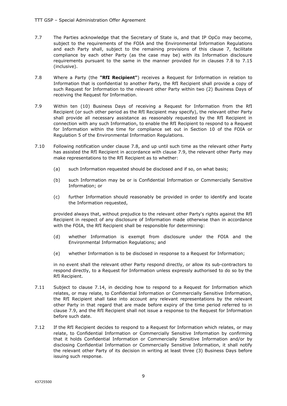- 7.7 The Parties acknowledge that the Secretary of State is, and that IP OpCo may become, subject to the requirements of the FOIA and the Environmental Information Regulations and each Party shall, subject to the remaining provisions of this clause 7, facilitate compliance by each other Party (as the case may be) with its Information disclosure requirements pursuant to the same in the manner provided for in clauses 7.8 to 7.15 (inclusive).
- 7.8 Where a Party (the **"RfI Recipient"**) receives a Request for Information in relation to Information that is confidential to another Party, the RfI Recipient shall provide a copy of such Request for Information to the relevant other Party within two (2) Business Days of receiving the Request for Information.
- 7.9 Within ten (10) Business Days of receiving a Request for Information from the RfI Recipient (or such other period as the RfI Recipient may specify), the relevant other Party shall provide all necessary assistance as reasonably requested by the RfI Recipient in connection with any such Information, to enable the RfI Recipient to respond to a Request for Information within the time for compliance set out in Section 10 of the FOIA or Regulation 5 of the Environmental Information Regulations.
- 7.10 Following notification under clause 7.8, and up until such time as the relevant other Party has assisted the RfI Recipient in accordance with clause 7.9, the relevant other Party may make representations to the RfI Recipient as to whether:
	- (a) such Information requested should be disclosed and if so, on what basis;
	- (b) such Information may be or is Confidential Information or Commercially Sensitive Information; or
	- (c) further Information should reasonably be provided in order to identify and locate the Information requested,

provided always that, without prejudice to the relevant other Party's rights against the RfI Recipient in respect of any disclosure of Information made otherwise than in accordance with the FOIA, the RfI Recipient shall be responsible for determining:

- (d) whether Information is exempt from disclosure under the FOIA and the Environmental Information Regulations; and
- (e) whether Information is to be disclosed in response to a Request for Information;

in no event shall the relevant other Party respond directly, or allow its sub-contractors to respond directly, to a Request for Information unless expressly authorised to do so by the RfI Recipient.

- 7.11 Subject to clause 7.14, in deciding how to respond to a Request for Information which relates, or may relate, to Confidential Information or Commercially Sensitive Information, the RfI Recipient shall take into account any relevant representations by the relevant other Party in that regard that are made before expiry of the time period referred to in clause 7.9, and the RfI Recipient shall not issue a response to the Request for Information before such date.
- 7.12 If the RfI Recipient decides to respond to a Request for Information which relates, or may relate, to Confidential Information or Commercially Sensitive Information by confirming that it holds Confidential Information or Commercially Sensitive Information and/or by disclosing Confidential Information or Commercially Sensitive Information, it shall notify the relevant other Party of its decision in writing at least three (3) Business Days before issuing such response.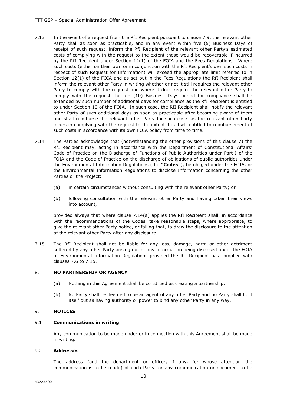- 7.13 In the event of a request from the RfI Recipient pursuant to clause 7.9, the relevant other Party shall as soon as practicable, and in any event within five (5) Business Days of receipt of such request, inform the RfI Recipient of the relevant other Party's estimated costs of complying with the request to the extent these would be recoverable if incurred by the RfI Recipient under Section 12(1) of the FOIA and the Fees Regulations. Where such costs (either on their own or in conjunction with the RfI Recipient's own such costs in respect of such Request for Information) will exceed the appropriate limit referred to in Section 12(1) of the FOIA and as set out in the Fees Regulations the RfI Recipient shall inform the relevant other Party in writing whether or not it still requires the relevant other Party to comply with the request and where it does require the relevant other Party to comply with the request the ten (10) Business Days period for compliance shall be extended by such number of additional days for compliance as the RfI Recipient is entitled to under Section 10 of the FOIA. In such case, the RfI Recipient shall notify the relevant other Party of such additional days as soon as practicable after becoming aware of them and shall reimburse the relevant other Party for such costs as the relevant other Party incurs in complying with the request to the extent it is itself entitled to reimbursement of such costs in accordance with its own FOIA policy from time to time.
- 7.14 The Parties acknowledge that (notwithstanding the other provisions of this clause 7) the RfI Recipient may, acting in accordance with the Department of Constitutional Affairs' Code of Practice on the Discharge of Functions of Public Authorities under Part I of the FOIA and the Code of Practice on the discharge of obligations of public authorities under the Environmental Information Regulations (the **"Codes"**), be obliged under the FOIA, or the Environmental Information Regulations to disclose Information concerning the other Parties or the Project:
	- (a) in certain circumstances without consulting with the relevant other Party; or
	- (b) following consultation with the relevant other Party and having taken their views into account,

provided always that where clause 7.14(a) applies the RfI Recipient shall, in accordance with the recommendations of the Codes, take reasonable steps, where appropriate, to give the relevant other Party notice, or failing that, to draw the disclosure to the attention of the relevant other Party after any disclosure.

7.15 The RfI Recipient shall not be liable for any loss, damage, harm or other detriment suffered by any other Party arising out of any Information being disclosed under the FOIA or Environmental Information Regulations provided the RfI Recipient has complied with clauses 7.6 to 7.15.

# 8. **NO PARTNERSHIP OR AGENCY**

- (a) Nothing in this Agreement shall be construed as creating a partnership.
- (b) No Party shall be deemed to be an agent of any other Party and no Party shall hold itself out as having authority or power to bind any other Party in any way.

# 9. **NOTICES**

# 9.1 **Communications in writing**

Any communication to be made under or in connection with this Agreement shall be made in writing.

# 9.2 **Addresses**

The address (and the department or officer, if any, for whose attention the communication is to be made) of each Party for any communication or document to be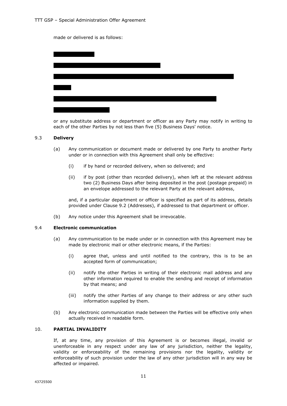made or delivered is as follows:

or any substitute address or department or officer as any Party may notify in writing to each of the other Parties by not less than five (5) Business Days' notice.

#### 9.3 **Delivery**

- (a) Any communication or document made or delivered by one Party to another Party under or in connection with this Agreement shall only be effective:
	- (i) if by hand or recorded delivery, when so delivered; and
	- (ii) if by post (other than recorded delivery), when left at the relevant address two (2) Business Days after being deposited in the post (postage prepaid) in an envelope addressed to the relevant Party at the relevant address,

and, if a particular department or officer is specified as part of its address, details provided under Clause 9.2 (Addresses), if addressed to that department or officer.

(b) Any notice under this Agreement shall be irrevocable.

# 9.4 **Electronic communication**

- (a) Any communication to be made under or in connection with this Agreement may be made by electronic mail or other electronic means, if the Parties:
	- (i) agree that, unless and until notified to the contrary, this is to be an accepted form of communication;
	- (ii) notify the other Parties in writing of their electronic mail address and any other information required to enable the sending and receipt of information by that means; and
	- (iii) notify the other Parties of any change to their address or any other such information supplied by them.
- (b) Any electronic communication made between the Parties will be effective only when actually received in readable form.

# 10. **PARTIAL INVALIDITY**

If, at any time, any provision of this Agreement is or becomes illegal, invalid or unenforceable in any respect under any law of any jurisdiction, neither the legality, validity or enforceability of the remaining provisions nor the legality, validity or enforceability of such provision under the law of any other jurisdiction will in any way be affected or impaired.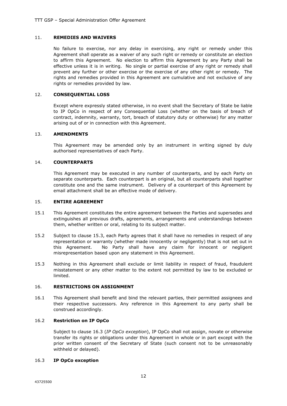# 11. **REMEDIES AND WAIVERS**

No failure to exercise, nor any delay in exercising, any right or remedy under this Agreement shall operate as a waiver of any such right or remedy or constitute an election to affirm this Agreement. No election to affirm this Agreement by any Party shall be effective unless it is in writing. No single or partial exercise of any right or remedy shall prevent any further or other exercise or the exercise of any other right or remedy. The rights and remedies provided in this Agreement are cumulative and not exclusive of any rights or remedies provided by law.

# 12. **CONSEQUENTIAL LOSS**

Except where expressly stated otherwise, in no event shall the Secretary of State be liable to IP OpCo in respect of any Consequential Loss (whether on the basis of breach of contract, indemnity, warranty, tort, breach of statutory duty or otherwise) for any matter arising out of or in connection with this Agreement.

# 13. **AMENDMENTS**

This Agreement may be amended only by an instrument in writing signed by duly authorised representatives of each Party.

# 14. **COUNTERPARTS**

This Agreement may be executed in any number of counterparts, and by each Party on separate counterparts. Each counterpart is an original, but all counterparts shall together constitute one and the same instrument. Delivery of a counterpart of this Agreement by email attachment shall be an effective mode of delivery.

# 15. **ENTIRE AGREEMENT**

- 15.1 This Agreement constitutes the entire agreement between the Parties and supersedes and extinguishes all previous drafts, agreements, arrangements and understandings between them, whether written or oral, relating to its subject matter.
- 15.2 Subject to clause 15.3, each Party agrees that it shall have no remedies in respect of any representation or warranty (whether made innocently or negligently) that is not set out in this Agreement. No Party shall have any claim for innocent or negligent misrepresentation based upon any statement in this Agreement.
- 15.3 Nothing in this Agreement shall exclude or limit liability in respect of fraud, fraudulent misstatement or any other matter to the extent not permitted by law to be excluded or limited.

# 16. **RESTRICTIONS ON ASSIGNMENT**

16.1 This Agreement shall benefit and bind the relevant parties, their permitted assignees and their respective successors. Any reference in this Agreement to any party shall be construed accordingly.

# 16.2 **Restriction on IP OpCo**

Subject to clause 16.3 (*IP OpCo exception*), IP OpCo shall not assign, novate or otherwise transfer its rights or obligations under this Agreement in whole or in part except with the prior written consent of the Secretary of State (such consent not to be unreasonably withheld or delayed).

# 16.3 **IP OpCo exception**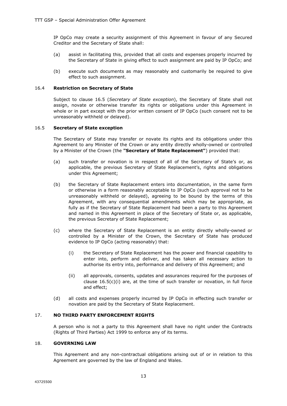IP OpCo may create a security assignment of this Agreement in favour of any Secured Creditor and the Secretary of State shall:

- (a) assist in facilitating this, provided that all costs and expenses properly incurred by the Secretary of State in giving effect to such assignment are paid by IP OpCo; and
- (b) execute such documents as may reasonably and customarily be required to give effect to such assignment.

# 16.4 **Restriction on Secretary of State**

Subject to clause 16.5 (*Secretary of State exception*), the Secretary of State shall not assign, novate or otherwise transfer its rights or obligations under this Agreement in whole or in part except with the prior written consent of IP OpCo (such consent not to be unreasonably withheld or delayed).

#### 16.5 **Secretary of State exception**

The Secretary of State may transfer or novate its rights and its obligations under this Agreement to any Minister of the Crown or any entity directly wholly-owned or controlled by a Minister of the Crown (the **"Secretary of State Replacement"**) provided that:

- (a) such transfer or novation is in respect of all of the Secretary of State's or, as applicable, the previous Secretary of State Replacement's, rights and obligations under this Agreement;
- (b) the Secretary of State Replacement enters into documentation, in the same form or otherwise in a form reasonably acceptable to IP OpCo (such approval not to be unreasonably withheld or delayed), agreeing to be bound by the terms of this Agreement, with any consequential amendments which may be appropriate, as fully as if the Secretary of State Replacement had been a party to this Agreement and named in this Agreement in place of the Secretary of State or, as applicable, the previous Secretary of State Replacement;
- (c) where the Secretary of State Replacement is an entity directly wholly-owned or controlled by a Minister of the Crown, the Secretary of State has produced evidence to IP OpCo (acting reasonably) that:
	- (i) the Secretary of State Replacement has the power and financial capability to enter into, perform and deliver, and has taken all necessary action to authorise its entry into, performance and delivery of this Agreement; and
	- (ii) all approvals, consents, updates and assurances required for the purposes of clause  $16.5(c)(i)$  are, at the time of such transfer or novation, in full force and effect;
- (d) all costs and expenses properly incurred by IP OpCo in effecting such transfer or novation are paid by the Secretary of State Replacement.

# 17. **NO THIRD PARTY ENFORCEMENT RIGHTS**

A person who is not a party to this Agreement shall have no right under the Contracts (Rights of Third Parties) Act 1999 to enforce any of its terms.

#### 18. **GOVERNING LAW**

This Agreement and any non-contractual obligations arising out of or in relation to this Agreement are governed by the law of England and Wales.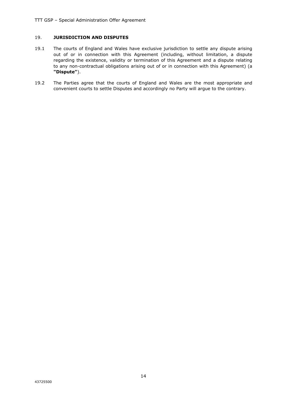# 19. **JURISDICTION AND DISPUTES**

- 19.1 The courts of England and Wales have exclusive jurisdiction to settle any dispute arising out of or in connection with this Agreement (including, without limitation, a dispute regarding the existence, validity or termination of this Agreement and a dispute relating to any non-contractual obligations arising out of or in connection with this Agreement) (a **"Dispute"**).
- 19.2 The Parties agree that the courts of England and Wales are the most appropriate and convenient courts to settle Disputes and accordingly no Party will argue to the contrary.